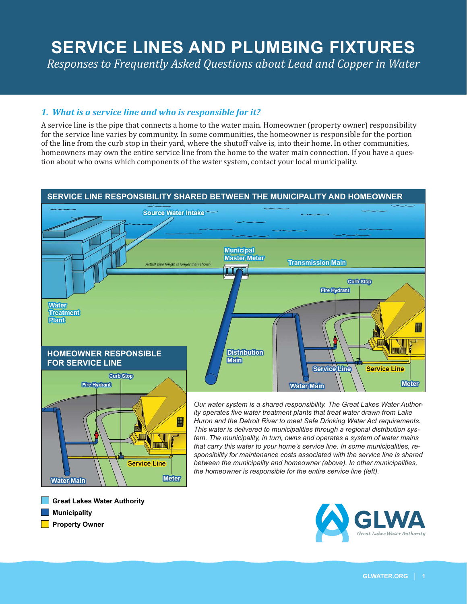# **SERVICE LINES AND PLUMBING FIXTURES**

Responses to Frequently Asked Questions about Lead and Copper in Water

# 1. What is a service line and who is responsible for it?

A service line is the pipe that connects a home to the water main. Homeowner (property owner) responsibility for the service line varies by community. In some communities, the homeowner is responsible for the portion of the line from the curb stop in their vard, where the shutoff valve is, into their home. In other communities, homeowners may own the entire service line from the home to the water main connection. If you have a question about who owns which components of the water system, contact your local municipality.

### SERVICE LINE RESPONSIBILITY SHARED BETWEEN THE MUNICIPALITY AND HOMEOWNER



#### **Great Lakes Water Authority**

**Municipality** 

**Water Main** 

Property Owner

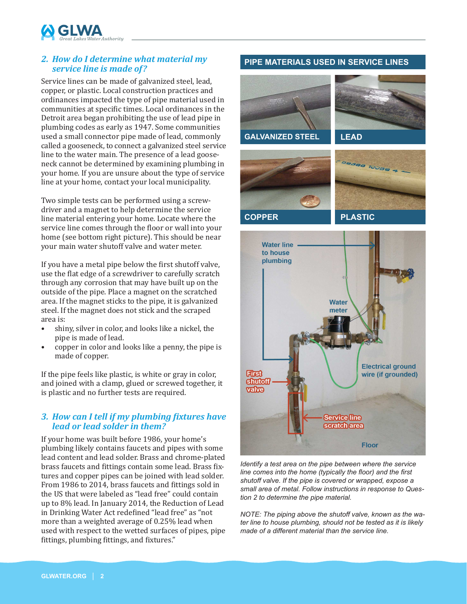

## *2. How do I determine what material my service line is made of?*

Service lines can be made of galvanized steel, lead, copper, or plastic. Local construction practices and ordinances impacted the type of pipe material used in communities at specific times. Local ordinances in the Detroit area began prohibiting the use of lead pipe in plumbing codes as early as 1947. Some communities used a small connector pipe made of lead, commonly called a gooseneck, to connect a galvanized steel service line to the water main. The presence of a lead gooseneck cannot be determined by examining plumbing in your home. If you are unsure about the type of service line at your home, contact your local municipality.

Two simple tests can be performed using a screwdriver and a magnet to help determine the service line material entering your home. Locate where the service line comes through the floor or wall into your home (see bottom right picture). This should be near your main water shutoff valve and water meter.

If you have a metal pipe below the first shutoff valve, use the flat edge of a screwdriver to carefully scratch through any corrosion that may have built up on the outside of the pipe. Place a magnet on the scratched area. If the magnet sticks to the pipe, it is galvanized steel. If the magnet does not stick and the scraped area is:

- shiny, silver in color, and looks like a nickel, the pipe is made of lead.
- copper in color and looks like a penny, the pipe is made of copper.

If the pipe feels like plastic, is white or gray in color, and joined with a clamp, glued or screwed together, it is plastic and no further tests are required.

### **3. How can I tell if my plumbing fixtures have** *lead or lead solder in them?*

If your home was built before 1986, your home's plumbing likely contains faucets and pipes with some lead content and lead solder. Brass and chrome-plated brass faucets and fittings contain some lead. Brass fixtures and copper pipes can be joined with lead solder. From 1986 to 2014, brass faucets and fittings sold in the US that were labeled as "lead free" could contain up to 8% lead. In January 2014, the Reduction of Lead in Drinking Water Act redefined "lead free" as "not more than a weighted average of 0.25% lead when used with respect to the wetted surfaces of pipes, pipe fittings, plumbing fittings, and fixtures."

### **PIPE MATERIALS USED IN SERVICE LINES**





*Identify a test area on the pipe between where the service line comes into the home (typically the floor) and the first* shutoff valve. If the pipe is covered or wrapped, expose a small area of metal. Follow instructions in response to Ques*tion 2 to determine the pipe material.*

*NOTE: The piping above the shutoff valve, known as the water line to house plumbing, should not be tested as it is likely made of a different material than the service line.*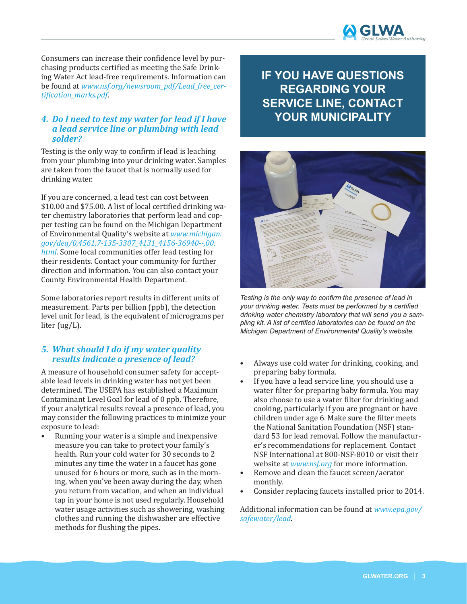

Consumers can increase their confidence level by purchasing products certified as meeting the Safe Drinking Water Act lead-free requirements. Information can be found at *www.nsf.org/newsroom\_pdf/Lead\_free\_cer* tification\_marks.pdf

#### *4. Do I need to test my water for lead if I have a lead service line or plumbing with lead solder?*

Testing is the only way to confirm if lead is leaching from your plumbing into your drinking water. Samples are taken from the faucet that is normally used for drinking water.

If you are concerned, a lead test can cost between  $$10.00$  and \$75.00. A list of local certified drinking water chemistry laboratories that perform lead and copper testing can be found on the Michigan Department of Environmental Quality's website at *www.michigan. gov/deq/0,4561,7-135-3307\_4131\_4156-36940--,00. html*. Some local communities offer lead testing for their residents. Contact your community for further direction and information. You can also contact your County Environmental Health Department.

Some laboratories report results in different units of measurement. Parts per billion (ppb), the detection level unit for lead, is the equivalent of micrograms per liter (ug/L).

# *5. What should I do if my water quality results indicate a presence of lead?*

A measure of household consumer safety for acceptable lead levels in drinking water has not yet been determined. The USEPA has established a Maximum Contaminant Level Goal for lead of 0 ppb. Therefore, if your analytical results reveal a presence of lead, you may consider the following practices to minimize your exposure to lead:

• Running your water is a simple and inexpensive measure you can take to protect your family's health. Run your cold water for 30 seconds to 2 minutes any time the water in a faucet has gone unused for 6 hours or more, such as in the morning, when you've been away during the day, when you return from vacation, and when an individual tap in your home is not used regularly. Household water usage activities such as showering, washing clothes and running the dishwasher are effective methods for flushing the pipes.

# **IF YOU HAVE QUESTIONS REGARDING YOUR SERVICE LINE, CONTACT YOUR MUNICIPALITY**



Testing is the only way to confirm the presence of lead in *your drinking water. Tests must be performed by a certified drinking water chemistry laboratory that will send you a sam*pling kit. A list of certified laboratories can be found on the *Michigan Department of Environmental Quality's website.* 

- Always use cold water for drinking, cooking, and preparing baby formula.
- If you have a lead service line, you should use a water filter for preparing baby formula. You may also choose to use a water filter for drinking and cooking, particularly if you are pregnant or have children under age 6. Make sure the filter meets the National Sanitation Foundation (NSF) standard 53 for lead removal. Follow the manufacturer's recommendations for replacement. Contact NSF International at 800-NSF-8010 or visit their website at *www.nsf.org* for more information.
- Remove and clean the faucet screen/aerator monthly.
- Consider replacing faucets installed prior to 2014.

Additional information can be found at *www.epa.gov/ safewater/lead*.